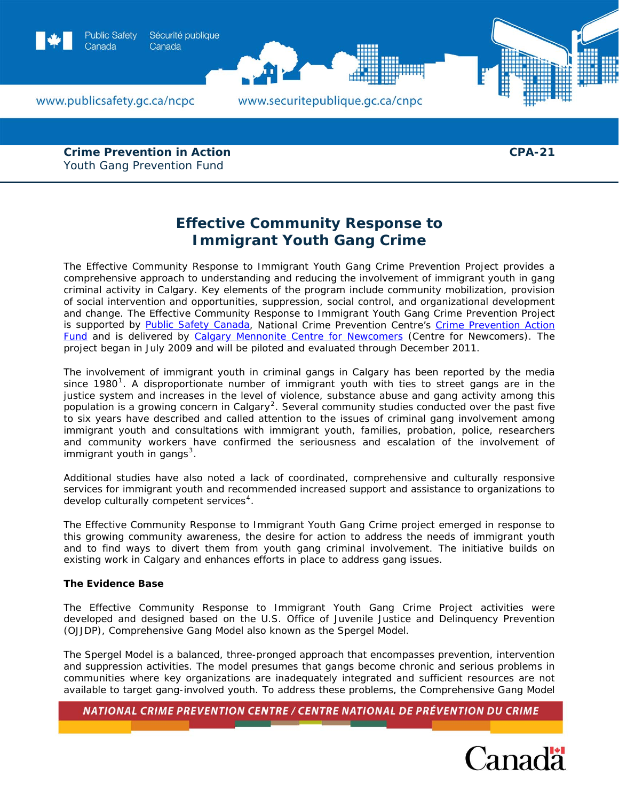

**Crime Prevention in Action CPA-21 CPA-21** Youth Gang Prevention Fund

# **Effective Community Response to Immigrant Youth Gang Crime**

The Effective Community Response to Immigrant Youth Gang Crime Prevention Project provides a comprehensive approach to understanding and reducing the involvement of immigrant youth in gang criminal activity in Calgary. Key elements of the program include community mobilization, provision of social intervention and opportunities, suppression, social control, and organizational development and change. The Effective Community Response to Immigrant Youth Gang Crime Prevention Project is supported by [Public Safety Canada](http://www.publicsafety.gc.ca/prg/cp/index-eng.aspx), National Crime Prevention Centre's [Crime Prevention Action](http://www.publicsafety.gc.ca/prg/cp/cpaf-index-eng.aspx)  [Fund](http://www.publicsafety.gc.ca/prg/cp/cpaf-index-eng.aspx) and is delivered by [Calgary Mennonite Centre for Newcomers](http://www.centrefornewcomers.ca/index.shtml) (Centre for Newcomers). The project began in July 2009 and will be piloted and evaluated through December 2011.

The involvement of immigrant youth in criminal gangs in Calgary has been reported by the media since [1](#page-3-0)980<sup>1</sup>. A disproportionate number of immigrant youth with ties to street gangs are in the justice system and increases in the level of violence, substance abuse and gang activity among this population is a growing concern in Calgary<sup>[2](#page-3-1)</sup>. Several community studies conducted over the past five to six years have described and called attention to the issues of criminal gang involvement among immigrant youth and consultations with immigrant youth, families, probation, police, researchers and community workers have confirmed the seriousness and escalation of the involvement of immigrant youth in gangs $3$ .

Additional studies have also noted a lack of coordinated, comprehensive and culturally responsive services for immigrant youth and recommended increased support and assistance to organizations to develop culturally competent services<sup>[4](#page-3-1)</sup>.

The Effective Community Response to Immigrant Youth Gang Crime project emerged in response to this growing community awareness, the desire for action to address the needs of immigrant youth and to find ways to divert them from youth gang criminal involvement. The initiative builds on existing work in Calgary and enhances efforts in place to address gang issues.

# **The Evidence Base**

The Effective Community Response to Immigrant Youth Gang Crime Project activities were developed and designed based on the U.S. Office of Juvenile Justice and Delinquency Prevention (OJJDP), Comprehensive Gang Model also known as the Spergel Model.

The Spergel Model is a balanced, three-pronged approach that encompasses prevention, intervention and suppression activities. The model presumes that gangs become chronic and serious problems in communities where key organizations are inadequately integrated and sufficient resources are not available to target gang-involved youth. To address these problems, the Comprehensive Gang Model

NATIONAL CRIME PREVENTION CENTRE / CENTRE NATIONAL DE PRÉVENTION DU CRIME

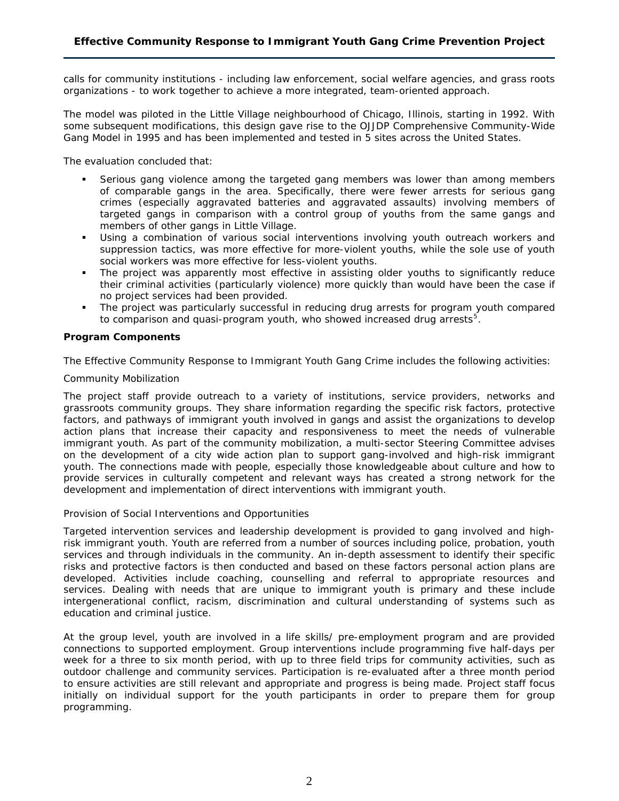calls for community institutions - including law enforcement, social welfare agencies, and grass roots organizations - to work together to achieve a more integrated, team-oriented approach.

The model was piloted in the Little Village neighbourhood of Chicago, Illinois, starting in 1992. With some subsequent modifications, this design gave rise to the OJJDP Comprehensive Community-Wide Gang Model in 1995 and has been implemented and tested in 5 sites across the United States.

The evaluation concluded that:

- Serious gang violence among the targeted gang members was lower than among members of comparable gangs in the area. Specifically, there were fewer arrests for serious gang crimes (especially aggravated batteries and aggravated assaults) involving members of targeted gangs in comparison with a control group of youths from the same gangs and members of other gangs in Little Village.
- Using a combination of various social interventions involving youth outreach workers and suppression tactics, was more effective for more-violent youths, while the sole use of youth social workers was more effective for less-violent youths.
- The project was apparently most effective in assisting older youths to significantly reduce their criminal activities (particularly violence) more quickly than would have been the case if no project services had been provided.
- The project was particularly successful in reducing drug arrests for program youth compared to comparison and quasi-program youth, who showed increased drug arrests<sup>[5](#page-3-2)</sup>.

## **Program Components**

The Effective Community Response to Immigrant Youth Gang Crime includes the following activities:

#### *Community Mobilization*

The project staff provide outreach to a variety of institutions, service providers, networks and grassroots community groups. They share information regarding the specific risk factors, protective factors, and pathways of immigrant youth involved in gangs and assist the organizations to develop action plans that increase their capacity and responsiveness to meet the needs of vulnerable immigrant youth. As part of the community mobilization, a multi-sector Steering Committee advises on the development of a city wide action plan to support gang-involved and high-risk immigrant youth. The connections made with people, especially those knowledgeable about culture and how to provide services in culturally competent and relevant ways has created a strong network for the development and implementation of direct interventions with immigrant youth.

#### *Provision of Social Interventions and Opportunities*

Targeted intervention services and leadership development is provided to gang involved and highrisk immigrant youth. Youth are referred from a number of sources including police, probation, youth services and through individuals in the community. An in-depth assessment to identify their specific risks and protective factors is then conducted and based on these factors personal action plans are developed. Activities include coaching, counselling and referral to appropriate resources and services. Dealing with needs that are unique to immigrant youth is primary and these include intergenerational conflict, racism, discrimination and cultural understanding of systems such as education and criminal justice.

At the group level, youth are involved in a life skills/ pre-employment program and are provided connections to supported employment. Group interventions include programming five half-days per week for a three to six month period, with up to three field trips for community activities, such as outdoor challenge and community services. Participation is re-evaluated after a three month period to ensure activities are still relevant and appropriate and progress is being made. Project staff focus initially on individual support for the youth participants in order to prepare them for group programming.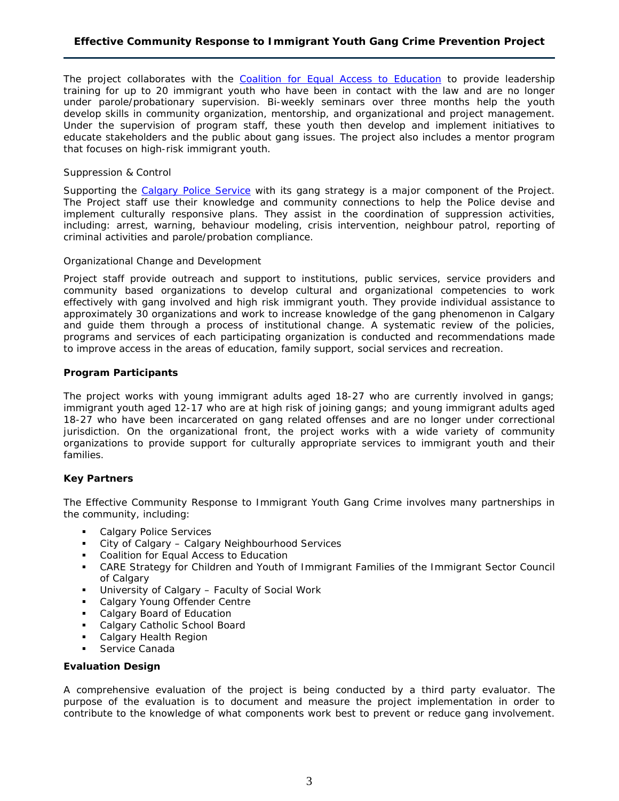The project collaborates with the [Coalition for Equal Access to Education](http://www.eslaction.com/index.php) to provide leadership training for up to 20 immigrant youth who have been in contact with the law and are no longer under parole/probationary supervision. Bi-weekly seminars over three months help the youth develop skills in community organization, mentorship, and organizational and project management. Under the supervision of program staff, these youth then develop and implement initiatives to educate stakeholders and the public about gang issues. The project also includes a mentor program that focuses on high-risk immigrant youth.

## *Suppression & Control*

Supporting the [Calgary Police Service](http://www.calgarypolice.ca/) with its gang strategy is a major component of the Project. The Project staff use their knowledge and community connections to help the Police devise and implement culturally responsive plans. They assist in the coordination of suppression activities, including: arrest, warning, behaviour modeling, crisis intervention, neighbour patrol, reporting of criminal activities and parole/probation compliance.

## *Organizational Change and Development*

Project staff provide outreach and support to institutions, public services, service providers and community based organizations to develop cultural and organizational competencies to work effectively with gang involved and high risk immigrant youth. They provide individual assistance to approximately 30 organizations and work to increase knowledge of the gang phenomenon in Calgary and guide them through a process of institutional change. A systematic review of the policies, programs and services of each participating organization is conducted and recommendations made to improve access in the areas of education, family support, social services and recreation.

## **Program Participants**

The project works with young immigrant adults aged 18-27 who are currently involved in gangs; immigrant youth aged 12-17 who are at high risk of joining gangs; and young immigrant adults aged 18-27 who have been incarcerated on gang related offenses and are no longer under correctional jurisdiction. On the organizational front, the project works with a wide variety of community organizations to provide support for culturally appropriate services to immigrant youth and their families.

# **Key Partners**

The Effective Community Response to Immigrant Youth Gang Crime involves many partnerships in the community, including:

- Calgary Police Services
- City of Calgary Calgary Neighbourhood Services
- **Coalition for Equal Access to Education**
- CARE Strategy for Children and Youth of Immigrant Families of the Immigrant Sector Council of Calgary
- **University of Calgary Faculty of Social Work**
- Calgary Young Offender Centre
- Calgary Board of Education
- Calgary Catholic School Board
- Calgary Health Region
- Service Canada

#### **Evaluation Design**

A comprehensive evaluation of the project is being conducted by a third party evaluator. The purpose of the evaluation is to document and measure the project implementation in order to contribute to the knowledge of what components work best to prevent or reduce gang involvement.